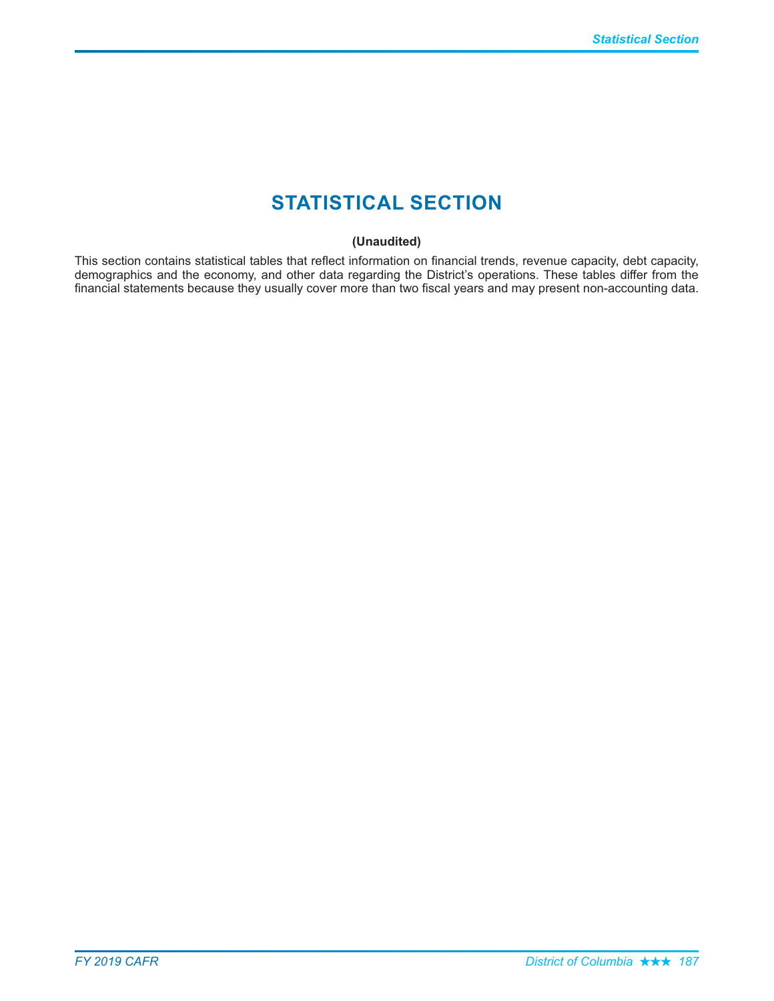## **STATISTICAL SECTION**

#### (Unaudited)

This section contains statistical tables that reflect information on financial trends, revenue capacity, debt capacity, demographics and the economy, and other data regarding the District's operations. These tables differ financial statements because they usually cover more than two fiscal years and may present non-accounting data.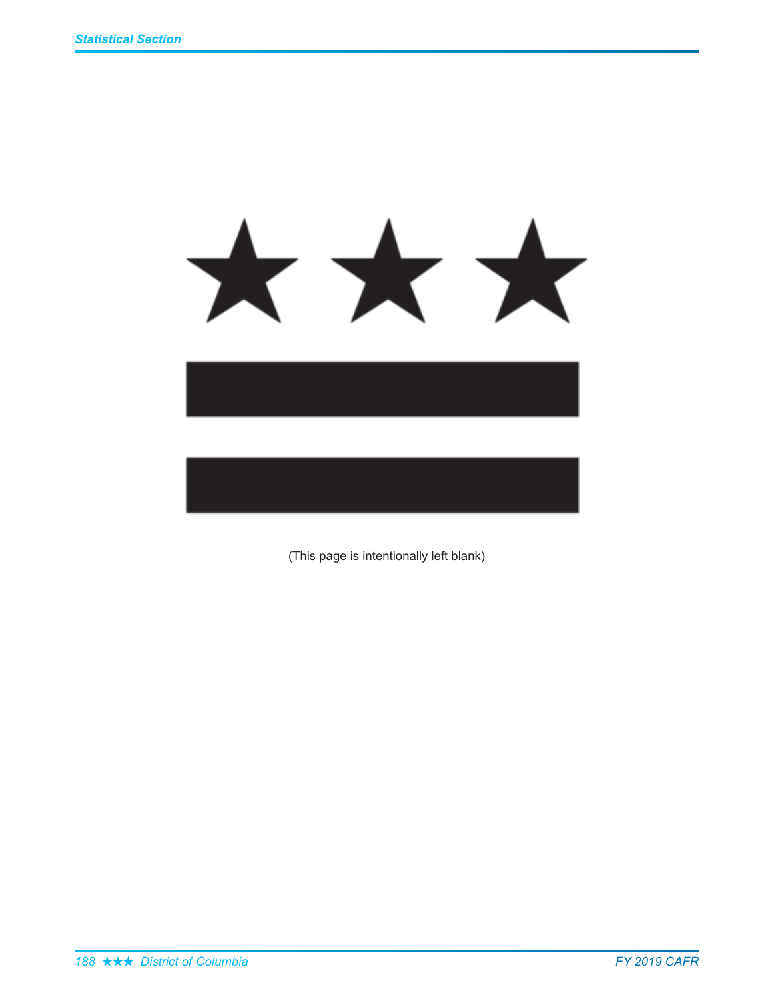(This page is intentionally left blank)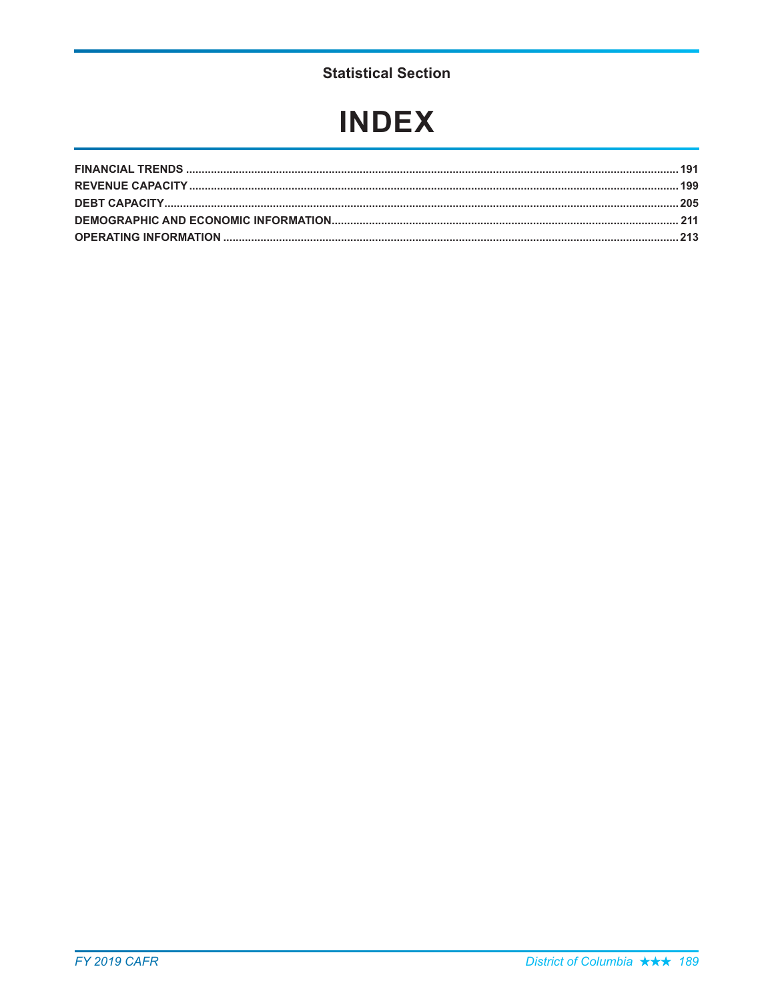### **Statistical Section**

# **INDEX**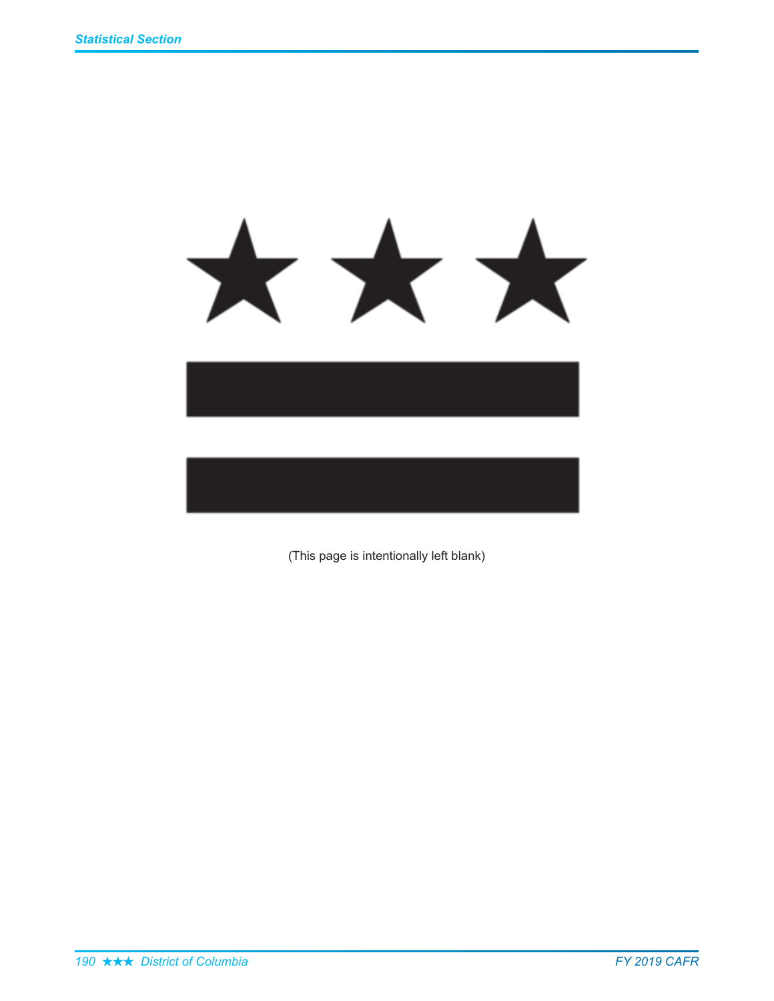(This page is intentionally left blank)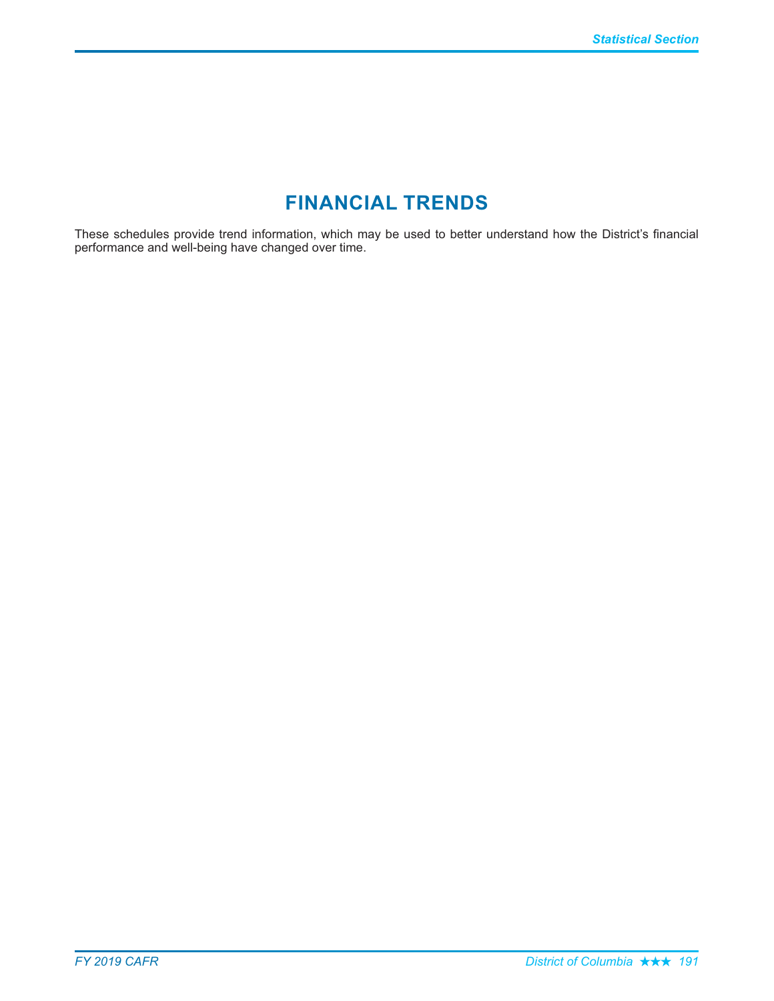## **FINANCIAL TRENDS**

These schedules provide trend information, which may be used to better understand how the District's financial performance and well-being have changed over time.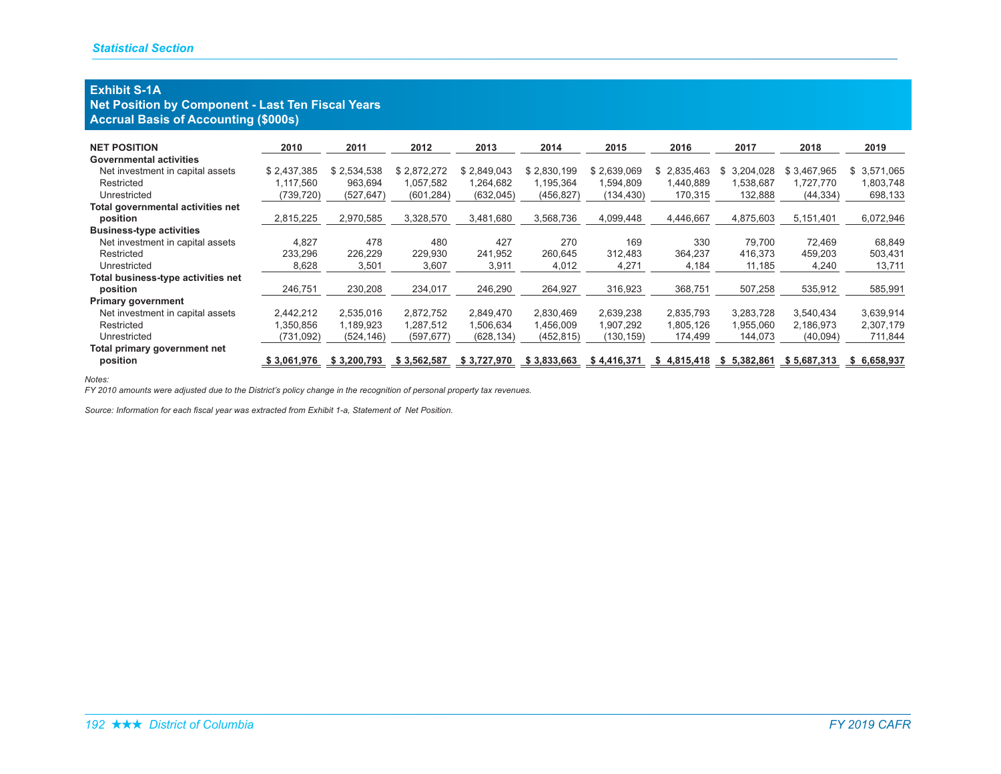#### Exhibit S-1A

#### Net Position by Component - Last Ten Fiscal Years **Accrual Basis of Accounting (\$000s)**

| <b>NET POSITION</b>                | 2010        | 2011        | 2012        | 2013        | 2014        | 2015        | 2016        | 2017            | 2018        | 2019              |
|------------------------------------|-------------|-------------|-------------|-------------|-------------|-------------|-------------|-----------------|-------------|-------------------|
| <b>Governmental activities</b>     |             |             |             |             |             |             |             |                 |             |                   |
| Net investment in capital assets   | \$2.437.385 | \$2,534,538 | \$2,872,272 | \$2,849,043 | \$2,830,199 | \$2,639,069 | \$2,835,463 | S<br>3,204,028  | \$3,467,965 | 3,571,065         |
| Restricted                         | 1.117.560   | 963,694     | 1.057.582   | 1,264,682   | 1,195,364   | 1,594,809   | 1,440,889   | 1,538,687       | 1,727,770   | 1,803,748         |
| Unrestricted                       | (739,720)   | (527, 647)  | (601, 284)  | (632, 045)  | (456, 827)  | (134, 430)  | 170,315     | 132,888         | (44, 334)   | 698,133           |
| Total governmental activities net  |             |             |             |             |             |             |             |                 |             |                   |
| position                           | 2,815,225   | 2,970,585   | 3,328,570   | 3,481,680   | 3,568,736   | 4,099,448   | 4,446,667   | 4,875,603       | 5,151,401   | 6,072,946         |
| <b>Business-type activities</b>    |             |             |             |             |             |             |             |                 |             |                   |
| Net investment in capital assets   | 4,827       | 478         | 480         | 427         | 270         | 169         | 330         | 79,700          | 72,469      | 68,849            |
| Restricted                         | 233,296     | 226.229     | 229.930     | 241.952     | 260.645     | 312.483     | 364.237     | 416.373         | 459.203     | 503,431           |
| Unrestricted                       | 8,628       | 3,501       | 3,607       | 3,911       | 4,012       | 4,271       | 4,184       | 11.185          | 4,240       | 13,711            |
| Total business-type activities net |             |             |             |             |             |             |             |                 |             |                   |
| position                           | 246.751     | 230.208     | 234.017     | 246.290     | 264.927     | 316.923     | 368.751     | 507.258         | 535.912     | 585,991           |
| <b>Primary government</b>          |             |             |             |             |             |             |             |                 |             |                   |
| Net investment in capital assets   | 2,442,212   | 2.535.016   | 2,872,752   | 2.849.470   | 2.830.469   | 2,639,238   | 2,835,793   | 3.283.728       | 3,540,434   | 3,639,914         |
| Restricted                         | 1,350,856   | 1,189,923   | 1,287,512   | 1,506,634   | 1,456,009   | 1,907,292   | 1,805,126   | 1,955,060       | 2,186,973   | 2,307,179         |
| Unrestricted                       | (731, 092)  | (524, 146)  | (597, 677)  | (628, 134)  | (452, 815)  | (130, 159)  | 174,499     | 144,073         | (40,094)    | 711,844           |
| Total primary government net       |             |             |             |             |             |             |             |                 |             |                   |
| position                           | \$3.061.976 | \$3.200.793 | \$3.562.587 | \$3.727.970 | \$3,833,663 | \$4.416.371 | \$4.815.418 | 5.382.861<br>S. | \$5.687.313 | 6,658,937<br>- \$ |

*Notes:*

*FY 2010 amounts were adjusted due to the District's policy change in the recognition of personal property tax revenues.*

Source: Information for each fiscal year was extracted from Exhibit 1-a, Statement of Net Position.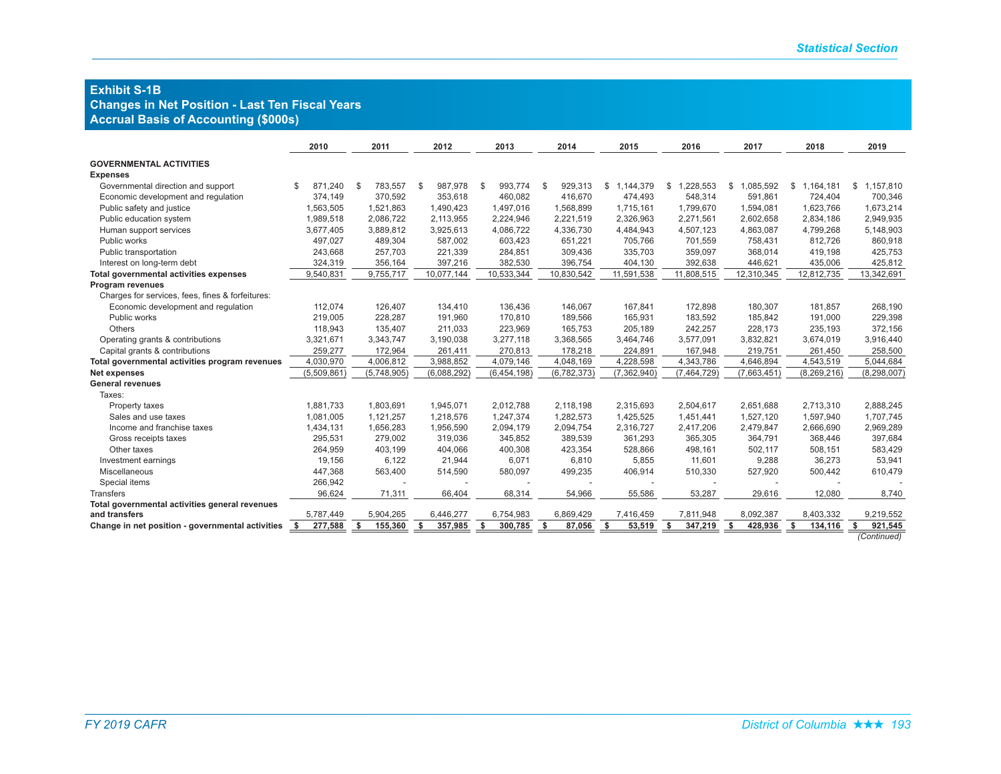#### Exhibit S-1B

Changes in Net Position - Last Ten Fiscal Years Accrual Basis of Accounting (\$000s)

|                                                  | 2010          | 2011            | 2012           | 2013           | 2014           | 2015            | 2016            | 2017            | 2018          | 2019           |
|--------------------------------------------------|---------------|-----------------|----------------|----------------|----------------|-----------------|-----------------|-----------------|---------------|----------------|
| <b>GOVERNMENTAL ACTIVITIES</b>                   |               |                 |                |                |                |                 |                 |                 |               |                |
| <b>Expenses</b>                                  |               |                 |                |                |                |                 |                 |                 |               |                |
| Governmental direction and support               | 871.240<br>\$ | 783.557<br>\$   | \$<br>987.978  | 993.774<br>-\$ | \$<br>929.313  | \$<br>1.144.379 | 1.228.553<br>\$ | 1.085.592<br>\$ | \$1.164.181   | \$1.157.810    |
| Economic development and regulation              | 374.149       | 370.592         | 353,618        | 460.082        | 416.670        | 474.493         | 548.314         | 591.861         | 724.404       | 700.346        |
| Public safety and justice                        | 1,563,505     | 1,521,863       | 1,490,423      | 1,497,016      | 1,568,899      | 1,715,161       | 1,799,670       | 1,594,081       | 1,623,766     | 1,673,214      |
| Public education system                          | 1,989,518     | 2,086,722       | 2,113,955      | 2,224,946      | 2,221,519      | 2,326,963       | 2,271,561       | 2,602,658       | 2,834,186     | 2,949,935      |
| Human support services                           | 3,677,405     | 3,889,812       | 3,925,613      | 4,086,722      | 4,336,730      | 4,484,943       | 4,507,123       | 4,863,087       | 4,799,268     | 5,148,903      |
| Public works                                     | 497,027       | 489,304         | 587,002        | 603,423        | 651,221        | 705,766         | 701,559         | 758,431         | 812,726       | 860,918        |
| Public transportation                            | 243,668       | 257,703         | 221,339        | 284,851        | 309,436        | 335,703         | 359,097         | 368,014         | 419,198       | 425,753        |
| Interest on long-term debt                       | 324,319       | 356,164         | 397,216        | 382,530        | 396,754        | 404,130         | 392,638         | 446,621         | 435,006       | 425,812        |
| Total governmental activities expenses           | 9,540,831     | 9,755,717       | 10,077,144     | 10,533,344     | 10,830,542     | 11,591,538      | 11,808,515      | 12,310,345      | 12,812,735    | 13,342,691     |
| Program revenues                                 |               |                 |                |                |                |                 |                 |                 |               |                |
| Charges for services, fees, fines & forfeitures: |               |                 |                |                |                |                 |                 |                 |               |                |
| Economic development and regulation              | 112,074       | 126,407         | 134,410        | 136,436        | 146,067        | 167,841         | 172,898         | 180,307         | 181,857       | 268,190        |
| Public works                                     | 219,005       | 228,287         | 191,960        | 170,810        | 189,566        | 165,931         | 183,592         | 185,842         | 191,000       | 229,398        |
| Others                                           | 118,943       | 135,407         | 211,033        | 223,969        | 165,753        | 205,189         | 242,257         | 228,173         | 235,193       | 372,156        |
| Operating grants & contributions                 | 3,321,671     | 3,343,747       | 3,190,038      | 3,277,118      | 3,368,565      | 3,464,746       | 3,577,091       | 3,832,821       | 3,674,019     | 3,916,440      |
| Capital grants & contributions                   | 259,277       | 172,964         | 261,411        | 270,813        | 178,218        | 224,891         | 167,948         | 219,751         | 261,450       | 258,500        |
| Total governmental activities program revenues   | 4,030,970     | 4,006,812       | 3,988,852      | 4,079,146      | 4,048,169      | 4,228,598       | 4,343,786       | 4,646,894       | 4,543,519     | 5,044,684      |
| <b>Net expenses</b>                              | (5,509,861)   | (5,748,905)     | (6,088,292)    | (6, 454, 198)  | (6, 782, 373)  | (7, 362, 940)   | (7, 464, 729)   | (7,663,451)     | (8, 269, 216) | (8, 298, 007)  |
| <b>General revenues</b>                          |               |                 |                |                |                |                 |                 |                 |               |                |
| Taxes:                                           |               |                 |                |                |                |                 |                 |                 |               |                |
| Property taxes                                   | 1,881,733     | 1,803,691       | 1,945,071      | 2,012,788      | 2,118,198      | 2,315,693       | 2,504,617       | 2,651,688       | 2,713,310     | 2,888,245      |
| Sales and use taxes                              | 1,081,005     | 1,121,257       | 1,218,576      | 1,247,374      | 1,282,573      | 1,425,525       | 1,451,441       | 1,527,120       | 1,597,940     | 1,707,745      |
| Income and franchise taxes                       | 1,434,131     | 1,656,283       | 1,956,590      | 2,094,179      | 2,094,754      | 2,316,727       | 2,417,206       | 2,479,847       | 2,666,690     | 2,969,289      |
| Gross receipts taxes                             | 295,531       | 279,002         | 319,036        | 345,852        | 389,539        | 361,293         | 365,305         | 364,791         | 368,446       | 397,684        |
| Other taxes                                      | 264,959       | 403,199         | 404,066        | 400,308        | 423,354        | 528,866         | 498,161         | 502,117         | 508,151       | 583,429        |
| Investment earnings                              | 19,156        | 6,122           | 21,944         | 6,071          | 6,810          | 5,855           | 11,601          | 9,288           | 36,273        | 53,941         |
| Miscellaneous                                    | 447,368       | 563,400         | 514,590        | 580,097        | 499,235        | 406,914         | 510,330         | 527,920         | 500,442       | 610,479        |
| Special items                                    | 266,942       |                 |                |                |                |                 |                 |                 |               |                |
| <b>Transfers</b>                                 | 96,624        | 71,311          | 66,404         | 68,314         | 54,966         | 55,586          | 53,287          | 29,616          | 12,080        | 8,740          |
| Total governmental activities general revenues   |               |                 |                |                |                |                 |                 |                 |               |                |
| and transfers                                    | 5,787,449     | 5,904,265       | 6,446,277      | 6,754,983      | 6,869,429      | 7,416,459       | 7,811,948       | 8,092,387       | 8,403,332     | 9,219,552      |
| Change in net position - governmental activities | 277,588       | 155,360<br>- \$ | 357,985<br>\$. | 300,785        | - \$<br>87,056 | 53,519<br>\$    | 347,219<br>\$.  | 428,936<br>-S   | 134,116       | \$.<br>921,545 |
|                                                  |               |                 |                |                |                |                 |                 |                 |               | (Continued)    |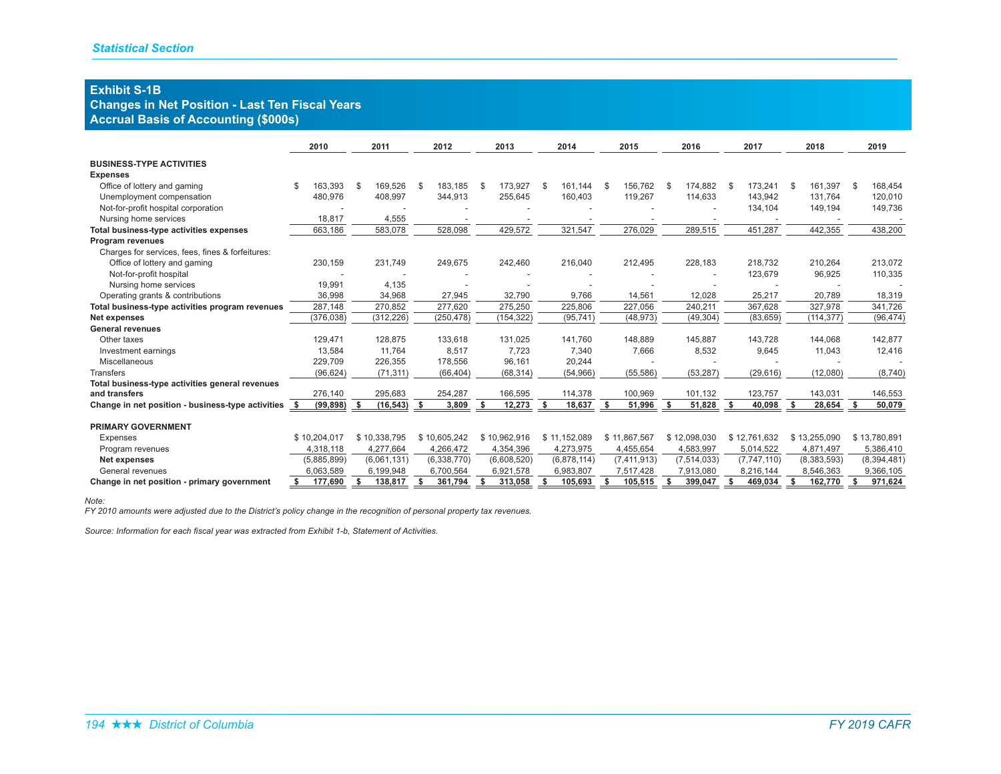#### Exhibit S-1B

**Changes in Net Position - Last Ten Fiscal Years Accrual Basis of Accounting (\$000s)** 

|                                                   | 2010         | 2011<br>2012      |               | 2013           | 2014          | 2015           | 2016          | 2017           | 2018          | 2019            |  |
|---------------------------------------------------|--------------|-------------------|---------------|----------------|---------------|----------------|---------------|----------------|---------------|-----------------|--|
| <b>BUSINESS-TYPE ACTIVITIES</b>                   |              |                   |               |                |               |                |               |                |               |                 |  |
| <b>Expenses</b>                                   |              |                   |               |                |               |                |               |                |               |                 |  |
| Office of lottery and gaming                      | 163.393      | 169,526<br>- \$   | 183.185<br>\$ | 173.927<br>-96 | \$<br>161.144 | 156,762<br>-96 | 174,882<br>-S | 173,241<br>-S  | 161.397<br>-S | 168,454<br>- \$ |  |
| Unemployment compensation                         | 480,976      | 408,997           | 344,913       | 255,645        | 160,403       | 119,267        | 114,633       | 143,942        | 131,764       | 120,010         |  |
| Not-for-profit hospital corporation               |              |                   |               |                |               |                |               | 134,104        | 149,194       | 149,736         |  |
| Nursing home services                             | 18,817       | 4,555             |               |                |               |                |               |                |               |                 |  |
| Total business-type activities expenses           | 663,186      | 583,078           | 528,098       | 429,572        | 321,547       | 276,029        | 289,515       | 451,287        | 442,355       | 438,200         |  |
| <b>Program revenues</b>                           |              |                   |               |                |               |                |               |                |               |                 |  |
| Charges for services, fees, fines & forfeitures:  |              |                   |               |                |               |                |               |                |               |                 |  |
| Office of lottery and gaming                      | 230,159      | 231,749           | 249,675       | 242,460        | 216,040       | 212,495        | 228,183       | 218.732        | 210,264       | 213,072         |  |
| Not-for-profit hospital                           |              |                   |               |                |               |                |               | 123,679        | 96,925        | 110,335         |  |
| Nursing home services                             | 19,991       | 4,135             |               |                |               |                |               |                |               |                 |  |
| Operating grants & contributions                  | 36,998       | 34,968            | 27.945        | 32.790         | 9.766         | 14,561         | 12,028        | 25.217         | 20.789        | 18,319          |  |
| Total business-type activities program revenues   | 287,148      | 270,852           | 277,620       | 275,250        | 225,806       | 227,056        | 240,211       | 367,628        | 327,978       | 341,726         |  |
| Net expenses                                      | (376, 038)   | (312, 226)        | (250, 478)    | (154, 322)     | (95, 741)     | (48, 973)      | (49, 304)     | (83, 659)      | (114, 377)    | (96, 474)       |  |
| <b>General revenues</b>                           |              |                   |               |                |               |                |               |                |               |                 |  |
| Other taxes                                       | 129,471      | 128,875           | 133,618       | 131,025        | 141,760       | 148,889        | 145,887       | 143,728        | 144,068       | 142,877         |  |
| Investment earnings                               | 13,584       | 11.764            | 8,517         | 7,723          | 7,340         | 7,666          | 8,532         | 9,645          | 11,043        | 12,416          |  |
| Miscellaneous                                     | 229,709      | 226,355           | 178,556       | 96,161         | 20,244        |                |               |                |               |                 |  |
| <b>Transfers</b>                                  | (96, 624)    | (71, 311)         | (66, 404)     | (68, 314)      | (54, 966)     | (55, 586)      | (53, 287)     | (29, 616)      | (12,080)      | (8,740)         |  |
| Total business-type activities general revenues   |              |                   |               |                |               |                |               |                |               |                 |  |
| and transfers                                     | 276,140      | 295,683           | 254,287       | 166,595        | 114,378       | 100,969        | 101,132       | 123,757        | 143,031       | 146,553         |  |
| Change in net position - business-type activities | (99, 898)    | - \$<br>(16, 543) | 3,809<br>-S   | 12,273         | -S<br>18,637  | 51,996<br>s.   | 51,828        | 40,098<br>- \$ | 28,654        | 50,079          |  |
| <b>PRIMARY GOVERNMENT</b>                         |              |                   |               |                |               |                |               |                |               |                 |  |
| Expenses                                          | \$10,204,017 | \$10,338,795      | \$10,605,242  | \$10,962,916   | \$11,152,089  | \$11,867,567   | \$12,098,030  | \$12,761,632   | \$13,255,090  | \$13,780,891    |  |
| Program revenues                                  | 4,318,118    | 4,277,664         | 4,266,472     | 4,354,396      | 4,273,975     | 4,455,654      | 4,583,997     | 5,014,522      | 4,871,497     | 5,386,410       |  |
| <b>Net expenses</b>                               | (5,885,899)  | (6,061,131)       | (6,338,770)   | (6,608,520)    | (6,878,114)   | (7, 411, 913)  | (7,514,033)   | (7,747,110)    | (8,383,593)   | (8,394,481)     |  |
| General revenues                                  | 6,063,589    | 6,199,948         | 6,700,564     | 6,921,578      | 6,983,807     | 7,517,428      | 7,913,080     | 8,216,144      | 8,546,363     | 9,366,105       |  |
| Change in net position - primary government       | 177.690      | 138.817<br>- \$   | 361.794<br>\$ | 313.058        | 105.693<br>-S | 105,515<br>\$  | 399.047       | 469.034<br>\$  | 162.770<br>\$ | 971.624         |  |

*Note:*

*FY 2010 amounts were adjusted due to the District's policy change in the recognition of personal property tax revenues.*

Source: Information for each fiscal year was extracted from Exhibit 1-b, Statement of Activities.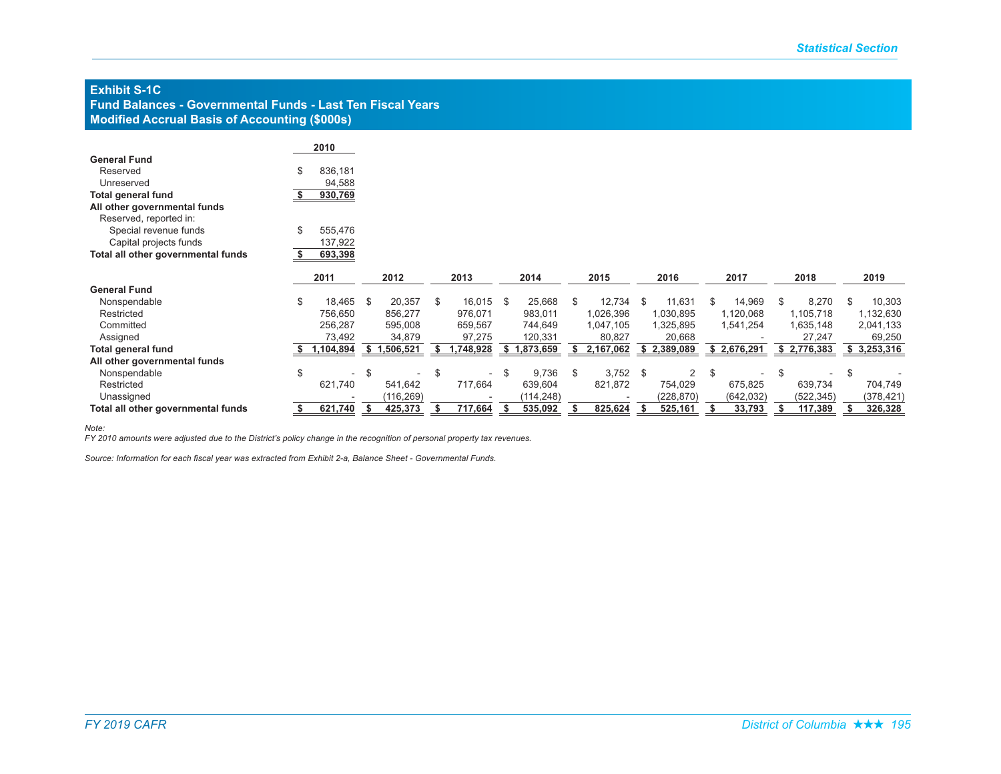#### Exhibit S-1C

Fund Balances - Governmental Funds - Last Ten Fiscal Years **Modified Accrual Basis of Accounting (\$000s)** 

|                                    |    | 2010      |      |             |      |                          |      |             |                  |     |             |    |             |     |             |     |             |
|------------------------------------|----|-----------|------|-------------|------|--------------------------|------|-------------|------------------|-----|-------------|----|-------------|-----|-------------|-----|-------------|
| <b>General Fund</b>                |    |           |      |             |      |                          |      |             |                  |     |             |    |             |     |             |     |             |
| Reserved                           | \$ | 836,181   |      |             |      |                          |      |             |                  |     |             |    |             |     |             |     |             |
| Unreserved                         |    | 94,588    |      |             |      |                          |      |             |                  |     |             |    |             |     |             |     |             |
| <b>Total general fund</b>          |    | 930,769   |      |             |      |                          |      |             |                  |     |             |    |             |     |             |     |             |
| All other governmental funds       |    |           |      |             |      |                          |      |             |                  |     |             |    |             |     |             |     |             |
| Reserved, reported in:             |    |           |      |             |      |                          |      |             |                  |     |             |    |             |     |             |     |             |
| Special revenue funds              | \$ | 555,476   |      |             |      |                          |      |             |                  |     |             |    |             |     |             |     |             |
| Capital projects funds             |    | 137,922   |      |             |      |                          |      |             |                  |     |             |    |             |     |             |     |             |
| Total all other governmental funds |    | 693,398   |      |             |      |                          |      |             |                  |     |             |    |             |     |             |     |             |
|                                    |    |           |      |             |      |                          |      |             |                  |     |             |    |             |     |             |     |             |
|                                    |    | 2011      |      | 2012        |      | 2013                     |      | 2014        | 2015             |     | 2016        |    | 2017        |     | 2018        |     | 2019        |
| <b>General Fund</b>                |    |           |      |             |      |                          |      |             |                  |     |             |    |             |     |             |     |             |
| Nonspendable                       | \$ | 18,465 \$ |      | 20,357      | - \$ | 16,015                   | - \$ | 25,668      | \$<br>12,734     | -\$ | 11,631      | S  | 14,969      | \$. | 8,270       | \$. | 10,303      |
| Restricted                         |    | 756,650   |      | 856,277     |      | 976,071                  |      | 983,011     | 1,026,396        |     | 1,030,895   |    | 1,120,068   |     | 1,105,718   |     | 1,132,630   |
| Committed                          |    | 256,287   |      | 595,008     |      | 659,567                  |      | 744,649     | 1,047,105        |     | 1,325,895   |    | 1,541,254   |     | 1,635,148   |     | 2,041,133   |
| Assigned                           |    | 73,492    |      | 34,879      |      | 97,275                   |      | 120,331     | 80,827           |     | 20,668      |    |             |     | 27,247      |     | 69,250      |
| <b>Total general fund</b>          |    | 1,104,894 |      | \$1,506,521 |      | 1,748,928                |      | \$1,873,659 | 2,167,062        |     | \$2,389,089 |    | \$2,676,291 |     | \$2,776,383 |     | \$3,253,316 |
| All other governmental funds       |    |           |      |             |      |                          |      |             |                  |     |             |    |             |     |             |     |             |
| Nonspendable                       | \$ | ٠         | -\$  |             | \$   | $\overline{\phantom{a}}$ | -\$  | 9,736       | \$<br>$3,752$ \$ |     | 2           | \$ |             | \$  |             | \$  |             |
| Restricted                         |    | 621,740   |      | 541,642     |      | 717,664                  |      | 639,604     | 821,872          |     | 754,029     |    | 675,825     |     | 639,734     |     | 704,749     |
| Unassigned                         |    |           |      | (116,269)   |      |                          |      | (114, 248)  |                  |     | (228, 870)  |    | (642, 032)  |     | (522, 345)  |     | (378,421)   |
| Total all other governmental funds | s. | 621,740   | - \$ | 425,373     |      | 717,664                  | S    | 535,092     | 825,624          |     | 525,161     |    | 33,793      |     | 117,389     |     | 326,328     |

*Note:*

*FY 2010 amounts were adjusted due to the District's policy change in the recognition of personal property tax revenues.*

Source: Information for each fiscal year was extracted from Exhibit 2-a, Balance Sheet - Governmental Funds.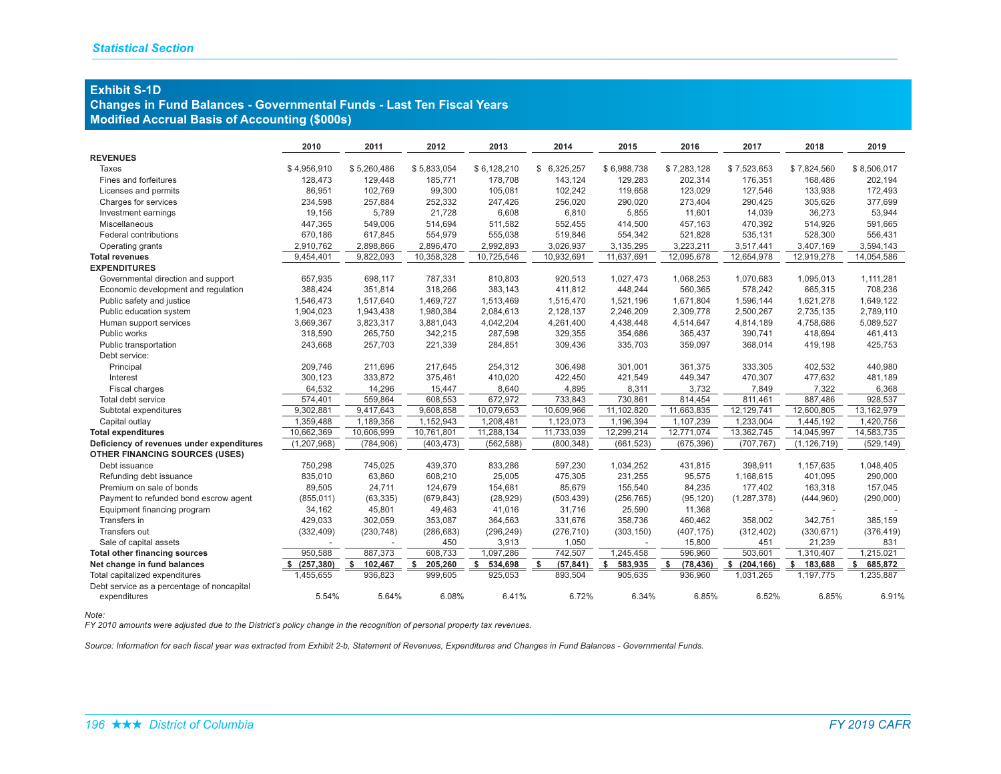#### Exhibit S-1D

**Changes in Fund Balances - Governmental Funds - Last Ten Fiscal Years** Modified Accrual Basis of Accounting (\$000s)

|                                            | 2010             | 2011            | 2012          | 2013          | 2014            | 2015          | 2016            | 2017          | 2018          | 2019          |
|--------------------------------------------|------------------|-----------------|---------------|---------------|-----------------|---------------|-----------------|---------------|---------------|---------------|
| <b>REVENUES</b>                            |                  |                 |               |               |                 |               |                 |               |               |               |
| <b>Taxes</b>                               | \$4,956,910      | \$5,260,486     | \$5,833,054   | \$6,128,210   | \$6,325,257     | \$6,988,738   | \$7,283,128     | \$7,523,653   | \$7,824,560   | \$8,506,017   |
| Fines and forfeitures                      | 128,473          | 129,448         | 185,771       | 178,708       | 143,124         | 129,283       | 202,314         | 176,351       | 168,486       | 202,194       |
| Licenses and permits                       | 86,951           | 102,769         | 99,300        | 105,081       | 102.242         | 119,658       | 123,029         | 127,546       | 133,938       | 172,493       |
| Charges for services                       | 234,598          | 257,884         | 252,332       | 247,426       | 256,020         | 290,020       | 273,404         | 290,425       | 305,626       | 377,699       |
| Investment earnings                        | 19,156           | 5,789           | 21,728        | 6,608         | 6,810           | 5,855         | 11,601          | 14,039        | 36,273        | 53,944        |
| Miscellaneous                              | 447,365          | 549,006         | 514,694       | 511,582       | 552,455         | 414,500       | 457,163         | 470,392       | 514,926       | 591,665       |
| <b>Federal contributions</b>               | 670,186          | 617,845         | 554,979       | 555,038       | 519,846         | 554,342       | 521,828         | 535,131       | 528,300       | 556,431       |
| Operating grants                           | 2,910,762        | 2,898,866       | 2,896,470     | 2,992,893     | 3,026,937       | 3,135,295     | 3,223,211       | 3,517,441     | 3,407,169     | 3,594,143     |
| <b>Total revenues</b>                      | 9,454,401        | 9,822,093       | 10,358,328    | 10,725,546    | 10,932,691      | 11,637,691    | 12,095,678      | 12,654,978    | 12,919,278    | 14,054,586    |
| <b>EXPENDITURES</b>                        |                  |                 |               |               |                 |               |                 |               |               |               |
| Governmental direction and support         | 657.935          | 698.117         | 787,331       | 810,803       | 920,513         | 1,027,473     | 1,068,253       | 1.070.683     | 1.095.013     | 1,111,281     |
| Economic development and regulation        | 388.424          | 351,814         | 318,266       | 383,143       | 411,812         | 448,244       | 560,365         | 578,242       | 665,315       | 708,236       |
| Public safety and justice                  | 1,546,473        | 1,517,640       | 1,469,727     | 1,513,469     | 1,515,470       | 1,521,196     | 1,671,804       | 1,596,144     | 1,621,278     | 1,649,122     |
| Public education system                    | 1,904,023        | 1,943,438       | 1,980,384     | 2,084,613     | 2,128,137       | 2,246,209     | 2,309,778       | 2,500,267     | 2,735,135     | 2,789,110     |
| Human support services                     | 3,669,367        | 3,823,317       | 3,881,043     | 4,042,204     | 4,261,400       | 4,438,448     | 4,514,647       | 4,814,189     | 4,758,686     | 5,089,527     |
| Public works                               | 318,590          | 265,750         | 342,215       | 287,598       | 329,355         | 354,686       | 365,437         | 390,741       | 418,694       | 461,413       |
| Public transportation                      | 243,668          | 257,703         | 221,339       | 284,851       | 309,436         | 335,703       | 359,097         | 368,014       | 419,198       | 425,753       |
| Debt service:                              |                  |                 |               |               |                 |               |                 |               |               |               |
| Principal                                  | 209,746          | 211,696         | 217,645       | 254,312       | 306,498         | 301,001       | 361,375         | 333,305       | 402,532       | 440,980       |
| Interest                                   | 300,123          | 333,872         | 375,461       | 410,020       | 422,450         | 421,549       | 449,347         | 470,307       | 477,632       | 481,189       |
| Fiscal charges                             | 64.532           | 14,296          | 15,447        | 8,640         | 4,895           | 8,311         | 3,732           | 7.849         | 7,322         | 6,368         |
| Total debt service                         | 574,401          | 559,864         | 608,553       | 672,972       | 733,843         | 730,861       | 814,454         | 811,461       | 887,486       | 928,537       |
| Subtotal expenditures                      | 9,302,881        | 9,417,643       | 9,608,858     | 10,079,653    | 10,609,966      | 11,102,820    | 11,663,835      | 12,129,741    | 12,600,805    | 13,162,979    |
| Capital outlay                             | 1,359,488        | 1,189,356       | 1,152,943     | 1,208,481     | 1,123,073       | 1,196,394     | 1,107,239       | 1,233,004     | 1,445,192     | 1,420,756     |
| <b>Total expenditures</b>                  | 10,662,369       | 10,606,999      | 10,761,801    | 11,288,134    | 11,733,039      | 12,299,214    | 12,771,074      | 13,362,745    | 14,045,997    | 14,583,735    |
| Deficiency of revenues under expenditures  | (1, 207, 968)    | (784, 906)      | (403, 473)    | (562, 588)    | (800, 348)      | (661, 523)    | (675, 396)      | (707, 767)    | (1, 126, 719) | (529, 149)    |
| <b>OTHER FINANCING SOURCES (USES)</b>      |                  |                 |               |               |                 |               |                 |               |               |               |
| Debt issuance                              | 750.298          | 745,025         | 439.370       | 833,286       | 597.230         | 1,034,252     | 431,815         | 398.911       | 1.157.635     | 1,048,405     |
| Refunding debt issuance                    | 835,010          | 63,860          | 608,210       | 25,005        | 475,305         | 231,255       | 95,575          | 1,168,615     | 401,095       | 290,000       |
| Premium on sale of bonds                   | 89,505           | 24,711          | 124,679       | 154,681       | 85,679          | 155,540       | 84,235          | 177,402       | 163,318       | 157,045       |
| Payment to refunded bond escrow agent      | (855, 011)       | (63, 335)       | (679, 843)    | (28, 929)     | (503, 439)      | (256, 765)    | (95, 120)       | (1, 287, 378) | (444, 960)    | (290,000)     |
| Equipment financing program                | 34,162           | 45,801          | 49,463        | 41,016        | 31,716          | 25,590        | 11,368          |               |               |               |
| Transfers in                               | 429,033          | 302,059         | 353,087       | 364,563       | 331,676         | 358,736       | 460,462         | 358,002       | 342,751       | 385,159       |
| Transfers out                              | (332, 409)       | (230, 748)      | (286, 683)    | (296, 249)    | (276, 710)      | (303, 150)    | (407, 175)      | (312, 402)    | (330, 671)    | (376, 419)    |
| Sale of capital assets                     |                  |                 | 450           | 3,913         | 1,050           |               | 15,800          | 451           | 21,239        | 831           |
| <b>Total other financing sources</b>       | 950,588          | 887,373         | 608,733       | 1,097,286     | 742,507         | 1,245,458     | 596,960         | 503,601       | 1,310,407     | 1,215,021     |
| Net change in fund balances                | (257, 380)<br>s. | - \$<br>102,467 | \$<br>205,260 | 534,698<br>s. | -S<br>(57, 841) | 583,935<br>\$ | \$<br>(78, 436) | \$(204, 166)  | s.<br>183,688 | s.<br>685,872 |
| Total capitalized expenditures             | 1,455,655        | 936,823         | 999,605       | 925,053       | 893,504         | 905,635       | 936,960         | 1,031,265     | 1,197,775     | 1,235,887     |
| Debt service as a percentage of noncapital |                  |                 |               |               |                 |               |                 |               |               |               |
| expenditures                               | 5.54%            | 5.64%           | 6.08%         | 6.41%         | 6.72%           | 6.34%         | 6.85%           | 6.52%         | 6.85%         | 6.91%         |

#### *Note:*

*FY 2010 amounts were adjusted due to the District's policy change in the recognition of personal property tax revenues.*

Source: Information for each fiscal year was extracted from Exhibit 2-b, Statement of Revenues, Expenditures and Changes in Fund Balances - Governmental Funds.